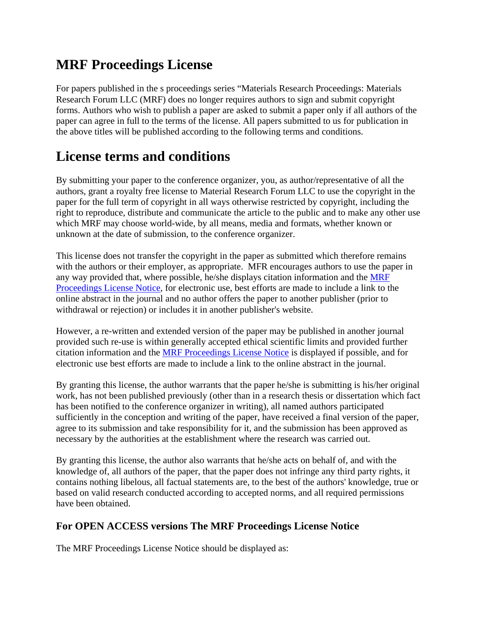## **MRF Proceedings License**

For papers published in the s proceedings series "Materials Research Proceedings: Materials Research Forum LLC (MRF) does no longer requires authors to sign and submit copyright forms. Authors who wish to publish a paper are asked to submit a paper only if all authors of the paper can agree in full to the terms of the license. All papers submitted to us for publication in the above titles will be published according to the following terms and conditions.

## **License terms and conditions**

By submitting your paper to the conference organizer, you, as author/representative of all the authors, grant a royalty free license to Material Research Forum LLC to use the copyright in the paper for the full term of copyright in all ways otherwise restricted by copyright, including the right to reproduce, distribute and communicate the article to the public and to make any other use which MRF may choose world-wide, by all means, media and formats, whether known or unknown at the date of submission, to the conference organizer.

This license does not transfer the copyright in the paper as submitted which therefore remains with the authors or their employer, as appropriate. MFR encourages authors to use the paper in any way provided that, where possible, he/she displays citation information and the [MRF](http://conferenceseries.iop.org/content/quick_links/IOP%20Proceedings%20Licence#NOTICE) [Proceedings License Notice,](http://conferenceseries.iop.org/content/quick_links/IOP%20Proceedings%20Licence#NOTICE) for electronic use, best efforts are made to include a link to the online abstract in the journal and no author offers the paper to another publisher (prior to withdrawal or rejection) or includes it in another publisher's website.

However, a re-written and extended version of the paper may be published in another journal provided such re-use is within generally accepted ethical scientific limits and provided further citation information and the MRF [Proceedings License Notice](http://conferenceseries.iop.org/content/quick_links/IOP%20Proceedings%20Licence#NOTICE) is displayed if possible, and for electronic use best efforts are made to include a link to the online abstract in the journal.

By granting this license, the author warrants that the paper he/she is submitting is his/her original work, has not been published previously (other than in a research thesis or dissertation which fact has been notified to the conference organizer in writing), all named authors participated sufficiently in the conception and writing of the paper, have received a final version of the paper, agree to its submission and take responsibility for it, and the submission has been approved as necessary by the authorities at the establishment where the research was carried out.

By granting this license, the author also warrants that he/she acts on behalf of, and with the knowledge of, all authors of the paper, that the paper does not infringe any third party rights, it contains nothing libelous, all factual statements are, to the best of the authors' knowledge, true or based on valid research conducted according to accepted norms, and all required permissions have been obtained.

## **For OPEN ACCESS versions The MRF Proceedings License Notice**

The MRF Proceedings License Notice should be displayed as: